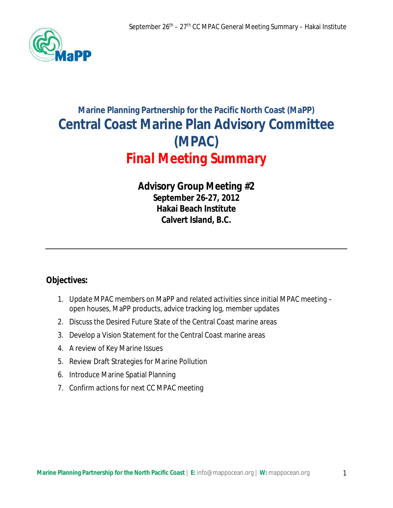

# **Marine Planning Partnership for the Pacific North Coast (MaPP) Central Coast Marine Plan Advisory Committee (MPAC)**  *Final Meeting Summary*

# *Advisory Group Meeting #2* **September 26-27, 2012 Hakai Beach Institute Calvert Island, B.C.**

# **Objectives:**

- 1. Update MPAC members on MaPP and related activities since initial MPAC meeting open houses, MaPP products, advice tracking log, member updates
- 2. Discuss the Desired Future State of the Central Coast marine areas
- 3. Develop a Vision Statement for the Central Coast marine areas
- 4. A review of Key Marine Issues
- 5. Review Draft Strategies for Marine Pollution
- 6. Introduce Marine Spatial Planning
- 7. Confirm actions for next CC MPAC meeting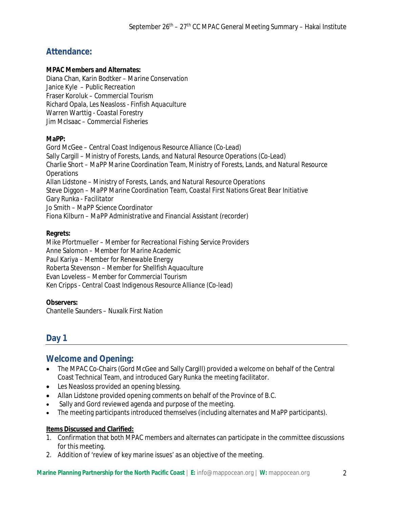## **Attendance:**

#### **MPAC Members and Alternates:**

Diana Chan, Karin Bodtker – *Marine Conservation* Janice Kyle – *Public Recreation* Fraser Koroluk – *Commercial Tourism* Richard Opala, Les Neasloss *- Finfish Aquaculture* Warren Warttig - *Coastal Forestry* Jim McIsaac – *Commercial Fisheries*

#### **MaPP:**

Gord McGee – *Central Coast Indigenous Resource Alliance (Co-Lead)* Sally Cargill – *Ministry of Forests, Lands, and Natural Resource Operations (Co-Lead)* Charlie Short – *MaPP Marine Coordination Team, Ministry of Forests, Lands, and Natural Resource Operations* Allan Lidstone – *Ministry of Forests, Lands, and Natural Resource Operations* Steve Diggon *– MaPP Marine Coordination Team, Coastal First Nations Great Bear Initiative* Gary Runka *- Facilitator* Jo Smith – *MaPP Science Coordinator* Fiona Kilburn – *MaPP Administrative and Financial Assistant (recorder)*

#### **Regrets:**

Mike Pfortmueller – *Member for Recreational Fishing Service Providers* Anne Salomon – *Member for Marine Academic* Paul Kariya – *Member for Renewable Energy* Roberta Stevenson – *Member for Shellfish Aquaculture* Evan Loveless *– Member for Commercial Tourism* Ken Cripps - *Central Coast Indigenous Resource Alliance (Co-lead)*

#### **Observers:**

Chantelle Saunders – *Nuxalk First Nation*

### **Day 1**

### **Welcome and Opening:**

- The MPAC Co-Chairs (Gord McGee and Sally Cargill) provided a welcome on behalf of the Central Coast Technical Team, and introduced Gary Runka the meeting facilitator.
- Les Neasloss provided an opening blessing.
- Allan Lidstone provided opening comments on behalf of the Province of B.C.
- Sally and Gord reviewed agenda and purpose of the meeting.
- The meeting participants introduced themselves (including alternates and MaPP participants).

#### **Items Discussed and Clarified:**

- 1. Confirmation that both MPAC members and alternates can participate in the committee discussions for this meeting.
- 2. Addition of 'review of key marine issues' as an objective of the meeting.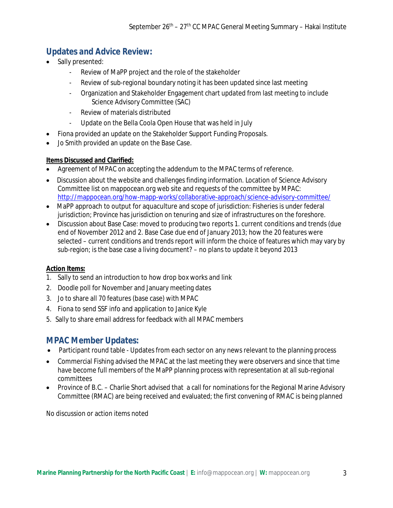### **Updates and Advice Review:**

- Sally presented:
	- Review of MaPP project and the role of the stakeholder
	- Review of sub-regional boundary noting it has been updated since last meeting
	- Organization and Stakeholder Engagement chart updated from last meeting to include Science Advisory Committee (SAC)
	- Review of materials distributed
	- Update on the Bella Coola Open House that was held in July
- Fiona provided an update on the Stakeholder Support Funding Proposals.
- Jo Smith provided an update on the Base Case.

#### **Items Discussed and Clarified:**

- Agreement of MPAC on accepting the addendum to the MPAC terms of reference.
- Discussion about the website and challenges finding information. Location of Science Advisory Committee list on mappocean.org web site and requests of the committee by MPAC: http://mappocean.org/how-mapp-works/collaborative-approach/science-advisory-committee/
- MaPP approach to output for aquaculture and scope of jurisdiction: Fisheries is under federal jurisdiction; Province has jurisdiction on tenuring and size of infrastructures on the foreshore.
- Discussion about Base Case: moved to producing two reports 1. current conditions and trends (due end of November 2012 and 2. Base Case due end of January 2013; how the 20 features were selected – current conditions and trends report will inform the choice of features which may vary by sub-region; is the base case a living document? – no plans to update it beyond 2013

#### **Action Items:**

- 1. Sally to send an introduction to how drop box works and link
- 2. Doodle poll for November and January meeting dates
- 3. Jo to share all 70 features (base case) with MPAC
- 4. Fiona to send SSF info and application to Janice Kyle
- 5. Sally to share email address for feedback with all MPAC members

### **MPAC Member Updates:**

- Participant round table Updates from each sector on any news relevant to the planning process
- Commercial Fishing advised the MPAC at the last meeting they were observers and since that time have become full members of the MaPP planning process with representation at all sub-regional committees
- Province of B.C. Charlie Short advised that a call for nominations for the Regional Marine Advisory Committee (RMAC) are being received and evaluated; the first convening of RMAC is being planned

No discussion or action items noted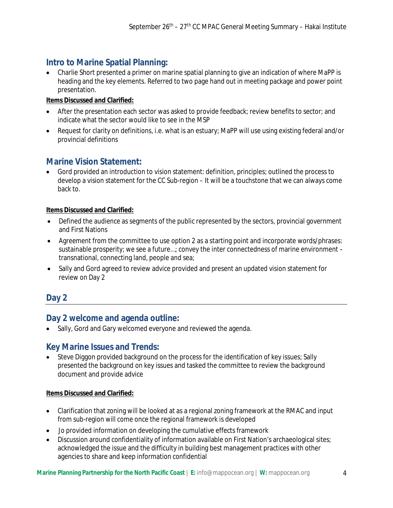### **Intro to Marine Spatial Planning:**

 Charlie Short presented a primer on marine spatial planning to give an indication of where MaPP is heading and the key elements. Referred to two page hand out in meeting package and power point presentation.

#### **Items Discussed and Clarified:**

- After the presentation each sector was asked to provide feedback; review benefits to sector; and indicate what the sector would like to see in the MSP
- Request for clarity on definitions, i.e. what is an estuary; MaPP will use using existing federal and/or provincial definitions

### **Marine Vision Statement:**

 Gord provided an introduction to vision statement: definition, principles; outlined the process to develop a vision statement for the CC Sub-region – It will be a touchstone that we can always come back to.

#### **Items Discussed and Clarified:**

- Defined the audience as segments of the public represented by the sectors, provincial government and First Nations
- Agreement from the committee to use option 2 as a starting point and incorporate words/phrases: sustainable prosperity; we see a future…; convey the inter connectedness of marine environment – transnational, connecting land, people and sea;
- Sally and Gord agreed to review advice provided and present an updated vision statement for review on Day 2

### **Day 2**

### **Day 2 welcome and agenda outline:**

• Sally, Gord and Gary welcomed everyone and reviewed the agenda.

### **Key Marine Issues and Trends:**

 Steve Diggon provided background on the process for the identification of key issues; Sally presented the background on key issues and tasked the committee to review the background document and provide advice

#### **Items Discussed and Clarified:**

- Clarification that zoning will be looked at as a regional zoning framework at the RMAC and input from sub-region will come once the regional framework is developed
- Jo provided information on developing the cumulative effects framework
- Discussion around confidentiality of information available on First Nation's archaeological sites; acknowledged the issue and the difficulty in building best management practices with other agencies to share and keep information confidential